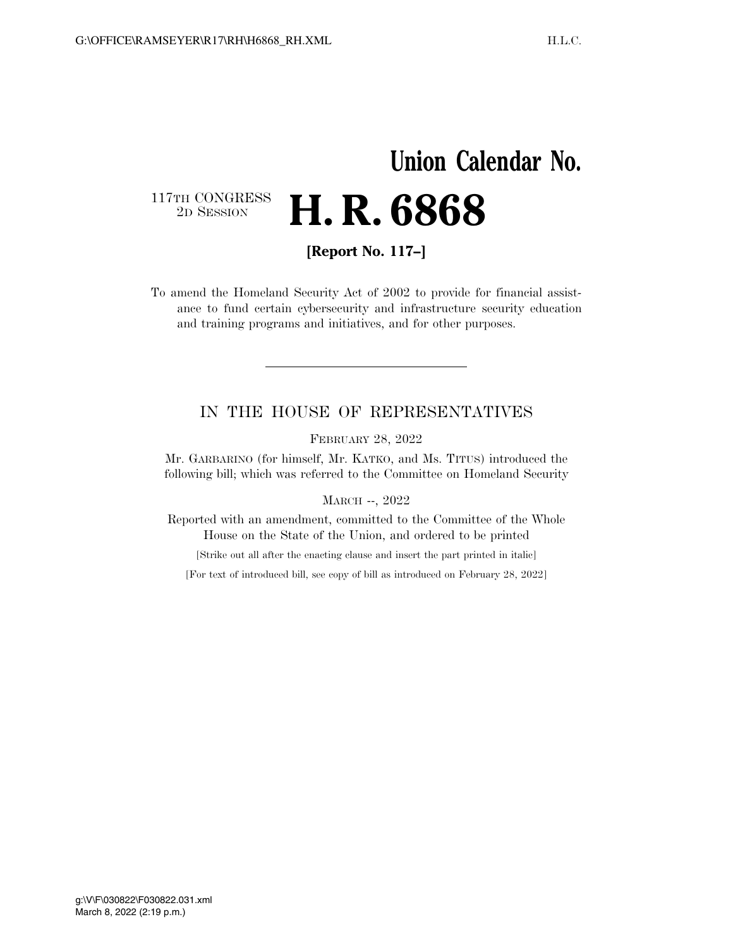## **Union Calendar No.**  117TH CONGRESS<br>2D SESSION 2D SESSION **H. R. 6868**

**[Report No. 117–]** 

To amend the Homeland Security Act of 2002 to provide for financial assistance to fund certain cybersecurity and infrastructure security education and training programs and initiatives, and for other purposes.

## IN THE HOUSE OF REPRESENTATIVES

FEBRUARY 28, 2022

Mr. GARBARINO (for himself, Mr. KATKO, and Ms. TITUS) introduced the following bill; which was referred to the Committee on Homeland Security

MARCH --, 2022

Reported with an amendment, committed to the Committee of the Whole House on the State of the Union, and ordered to be printed

[Strike out all after the enacting clause and insert the part printed in italic]

[For text of introduced bill, see copy of bill as introduced on February 28, 2022]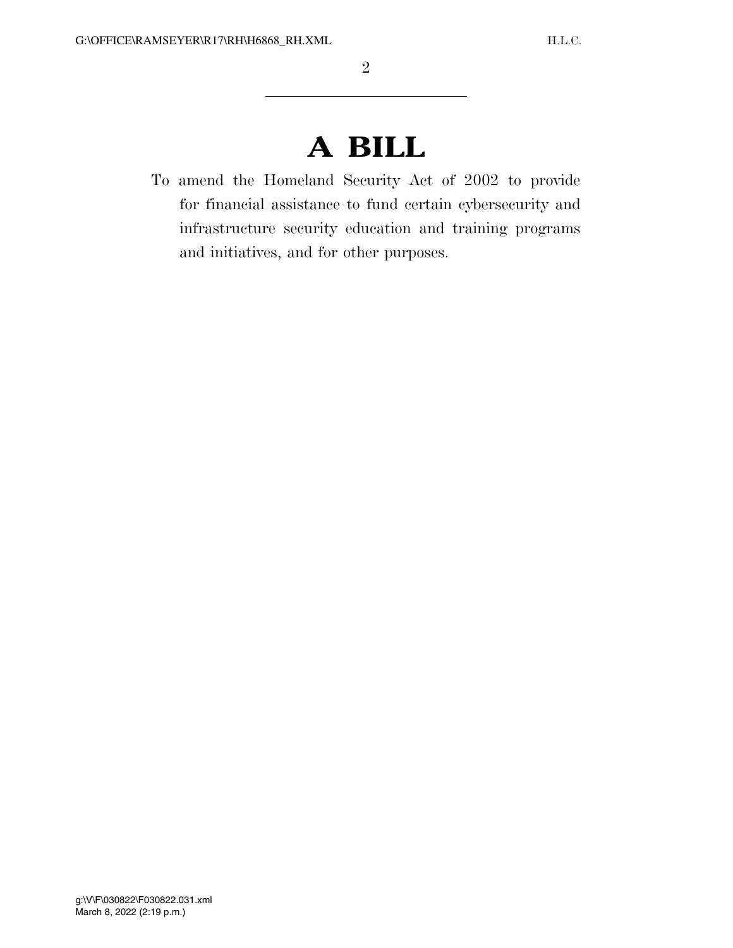## **A BILL**

To amend the Homeland Security Act of 2002 to provide for financial assistance to fund certain cybersecurity and infrastructure security education and training programs and initiatives, and for other purposes.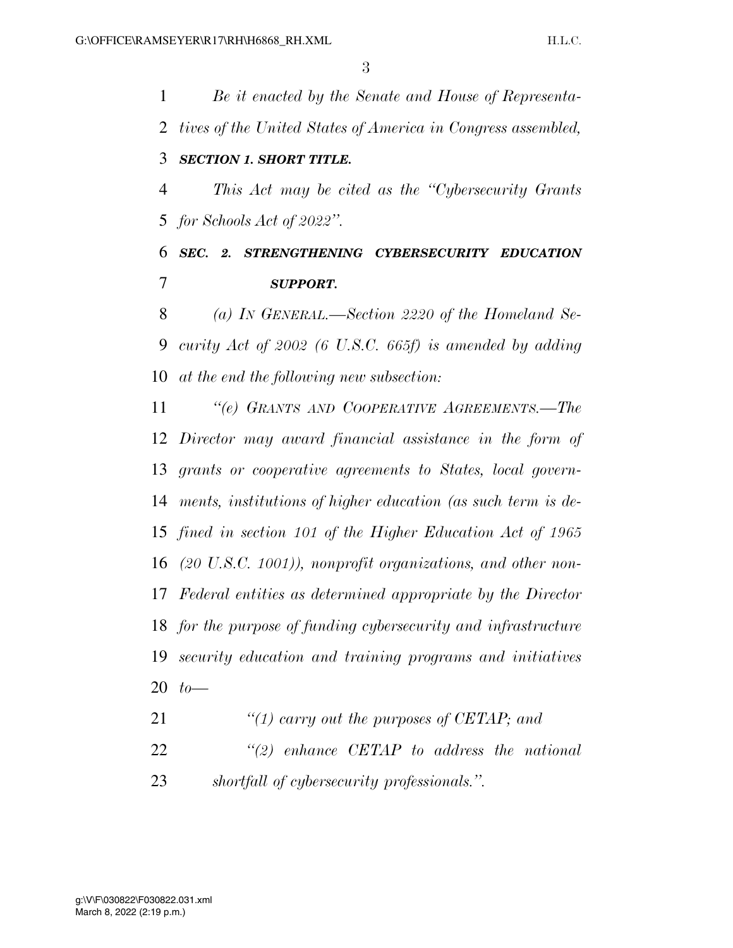*Be it enacted by the Senate and House of Representa- tives of the United States of America in Congress assembled, SECTION 1. SHORT TITLE. This Act may be cited as the ''Cybersecurity Grants for Schools Act of 2022''. SEC. 2. STRENGTHENING CYBERSECURITY EDUCATION SUPPORT. (a) IN GENERAL.—Section 2220 of the Homeland Se- curity Act of 2002 (6 U.S.C. 665f) is amended by adding at the end the following new subsection: ''(e) GRANTS AND COOPERATIVE AGREEMENTS.—The Director may award financial assistance in the form of grants or cooperative agreements to States, local govern- ments, institutions of higher education (as such term is de- fined in section 101 of the Higher Education Act of 1965 (20 U.S.C. 1001)), nonprofit organizations, and other non- Federal entities as determined appropriate by the Director for the purpose of funding cybersecurity and infrastructure* 

 *security education and training programs and initiatives to—* 

*''(1) carry out the purposes of CETAP; and* 

 *''(2) enhance CETAP to address the national shortfall of cybersecurity professionals.''.*